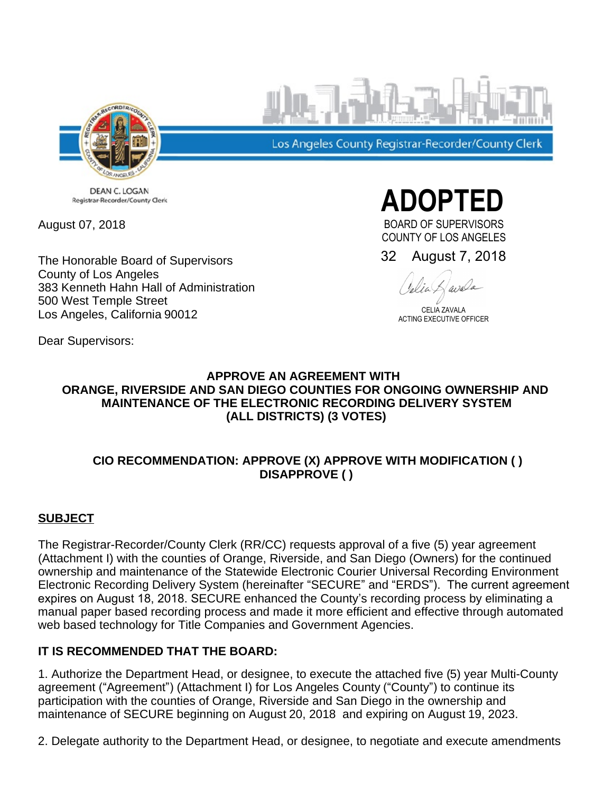

Los Angeles County Registrar-Recorder/County Clerk

DEAN C. LOGAN Registrar-Recorder/County Clerk

August 07, 2018

The Honorable Board of Supervisors County of Los Angeles 383 Kenneth Hahn Hall of Administration 500 West Temple Street Los Angeles, California 90012

**ADOPTED** 

BOARD OF SUPERVISORS COUNTY OF LOS ANGELES

32 August 7, 2018

avala

CELIA ZAVALA ACTING EXECUTIVE OFFICER

Dear Supervisors:

## **APPROVE AN AGREEMENT WITH ORANGE, RIVERSIDE AND SAN DIEGO COUNTIES FOR ONGOING OWNERSHIP AND MAINTENANCE OF THE ELECTRONIC RECORDING DELIVERY SYSTEM (ALL DISTRICTS) (3 VOTES)**

# **CIO RECOMMENDATION: APPROVE (X) APPROVE WITH MODIFICATION ( ) DISAPPROVE ( )**

# **SUBJECT**

The Registrar-Recorder/County Clerk (RR/CC) requests approval of a five (5) year agreement (Attachment I) with the counties of Orange, Riverside, and San Diego (Owners) for the continued ownership and maintenance of the Statewide Electronic Courier Universal Recording Environment Electronic Recording Delivery System (hereinafter "SECURE" and "ERDS"). The current agreement expires on August 18, 2018. SECURE enhanced the County's recording process by eliminating a manual paper based recording process and made it more efficient and effective through automated web based technology for Title Companies and Government Agencies.

# **IT IS RECOMMENDED THAT THE BOARD:**

1. Authorize the Department Head, or designee, to execute the attached five (5) year Multi-County agreement ("Agreement") (Attachment I) for Los Angeles County ("County") to continue its participation with the counties of Orange, Riverside and San Diego in the ownership and maintenance of SECURE beginning on August 20, 2018 and expiring on August 19, 2023.

2. Delegate authority to the Department Head, or designee, to negotiate and execute amendments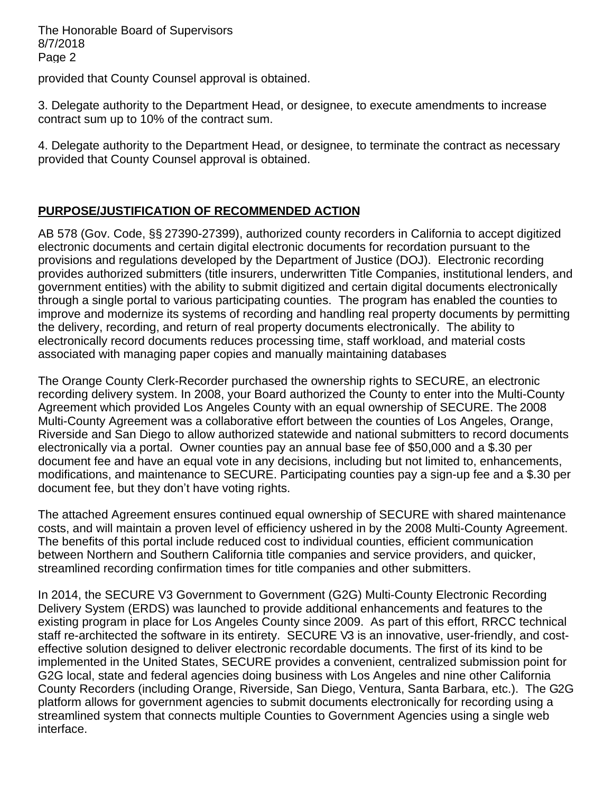provided that County Counsel approval is obtained.

3. Delegate authority to the Department Head, or designee, to execute amendments to increase contract sum up to 10% of the contract sum.

4. Delegate authority to the Department Head, or designee, to terminate the contract as necessary provided that County Counsel approval is obtained.

# **PURPOSE/JUSTIFICATION OF RECOMMENDED ACTION**

AB 578 (Gov. Code, §§ 27390-27399), authorized county recorders in California to accept digitized electronic documents and certain digital electronic documents for recordation pursuant to the provisions and regulations developed by the Department of Justice (DOJ). Electronic recording provides authorized submitters (title insurers, underwritten Title Companies, institutional lenders, and government entities) with the ability to submit digitized and certain digital documents electronically through a single portal to various participating counties. The program has enabled the counties to improve and modernize its systems of recording and handling real property documents by permitting the delivery, recording, and return of real property documents electronically. The ability to electronically record documents reduces processing time, staff workload, and material costs associated with managing paper copies and manually maintaining databases

The Orange County Clerk-Recorder purchased the ownership rights to SECURE, an electronic recording delivery system. In 2008, your Board authorized the County to enter into the Multi-County Agreement which provided Los Angeles County with an equal ownership of SECURE. The 2008 Multi-County Agreement was a collaborative effort between the counties of Los Angeles, Orange, Riverside and San Diego to allow authorized statewide and national submitters to record documents electronically via a portal. Owner counties pay an annual base fee of \$50,000 and a \$.30 per document fee and have an equal vote in any decisions, including but not limited to, enhancements, modifications, and maintenance to SECURE. Participating counties pay a sign-up fee and a \$.30 per document fee, but they don't have voting rights.

The attached Agreement ensures continued equal ownership of SECURE with shared maintenance costs, and will maintain a proven level of efficiency ushered in by the 2008 Multi-County Agreement. The benefits of this portal include reduced cost to individual counties, efficient communication between Northern and Southern California title companies and service providers, and quicker, streamlined recording confirmation times for title companies and other submitters.

In 2014, the SECURE V3 Government to Government (G2G) Multi-County Electronic Recording Delivery System (ERDS) was launched to provide additional enhancements and features to the existing program in place for Los Angeles County since 2009. As part of this effort, RRCC technical staff re-architected the software in its entirety. SECURE V3 is an innovative, user-friendly, and costeffective solution designed to deliver electronic recordable documents. The first of its kind to be implemented in the United States, SECURE provides a convenient, centralized submission point for G2G local, state and federal agencies doing business with Los Angeles and nine other California County Recorders (including Orange, Riverside, San Diego, Ventura, Santa Barbara, etc.). The G2G platform allows for government agencies to submit documents electronically for recording using a streamlined system that connects multiple Counties to Government Agencies using a single web interface.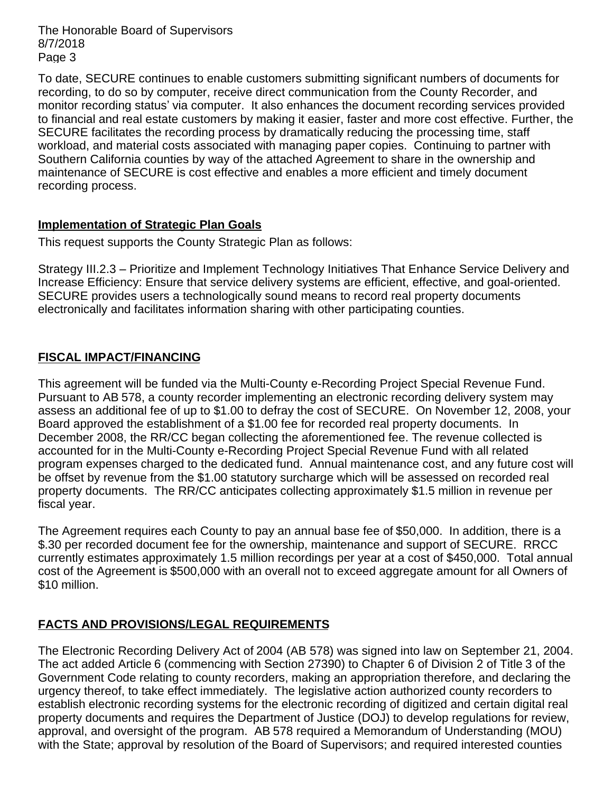To date, SECURE continues to enable customers submitting significant numbers of documents for recording, to do so by computer, receive direct communication from the County Recorder, and monitor recording status' via computer. It also enhances the document recording services provided to financial and real estate customers by making it easier, faster and more cost effective. Further, the SECURE facilitates the recording process by dramatically reducing the processing time, staff workload, and material costs associated with managing paper copies. Continuing to partner with Southern California counties by way of the attached Agreement to share in the ownership and maintenance of SECURE is cost effective and enables a more efficient and timely document recording process.

## **Implementation of Strategic Plan Goals**

This request supports the County Strategic Plan as follows:

Strategy III.2.3 - Prioritize and Implement Technology Initiatives That Enhance Service Delivery and Increase Efficiency: Ensure that service delivery systems are efficient, effective, and goal-oriented. SECURE provides users a technologically sound means to record real property documents electronically and facilitates information sharing with other participating counties.

# **FISCAL IMPACT/FINANCING**

This agreement will be funded via the Multi-County e-Recording Project Special Revenue Fund. Pursuant to AB 578, a county recorder implementing an electronic recording delivery system may assess an additional fee of up to \$1.00 to defray the cost of SECURE. On November 12, 2008, your Board approved the establishment of a \$1.00 fee for recorded real property documents. In December 2008, the RR/CC began collecting the aforementioned fee. The revenue collected is accounted for in the Multi-County e-Recording Project Special Revenue Fund with all related program expenses charged to the dedicated fund. Annual maintenance cost, and any future cost will be offset by revenue from the \$1.00 statutory surcharge which will be assessed on recorded real property documents. The RR/CC anticipates collecting approximately \$1.5 million in revenue per fiscal year.

The Agreement requires each County to pay an annual base fee of \$50,000. In addition, there is a \$.30 per recorded document fee for the ownership, maintenance and support of SECURE. RRCC currently estimates approximately 1.5 million recordings per year at a cost of \$450,000. Total annual cost of the Agreement is \$500,000 with an overall not to exceed aggregate amount for all Owners of \$10 million.

# **FACTS AND PROVISIONS/LEGAL REQUIREMENTS**

The Electronic Recording Delivery Act of 2004 (AB 578) was signed into law on September 21, 2004. The act added Article 6 (commencing with Section 27390) to Chapter 6 of Division 2 of Title 3 of the Government Code relating to county recorders, making an appropriation therefore, and declaring the urgency thereof, to take effect immediately. The legislative action authorized county recorders to establish electronic recording systems for the electronic recording of digitized and certain digital real property documents and requires the Department of Justice (DOJ) to develop regulations for review, approval, and oversight of the program. AB 578 required a Memorandum of Understanding (MOU) with the State; approval by resolution of the Board of Supervisors; and required interested counties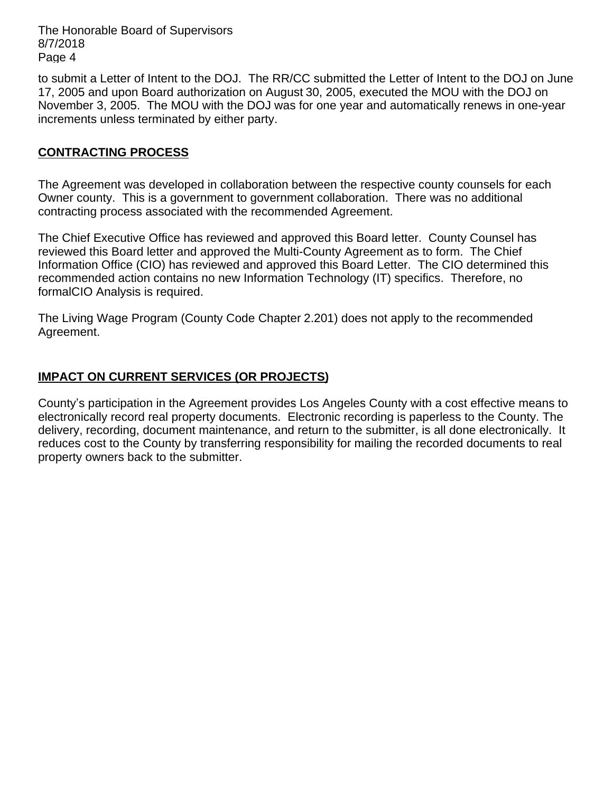to submit a Letter of Intent to the DOJ. The RR/CC submitted the Letter of Intent to the DOJ on June 17, 2005 and upon Board authorization on August 30, 2005, executed the MOU with the DOJ on November 3, 2005. The MOU with the DOJ was for one year and automatically renews in one-year increments unless terminated by either party.

## **CONTRACTING PROCESS**

The Agreement was developed in collaboration between the respective county counsels for each Owner county. This is a government to government collaboration. There was no additional contracting process associated with the recommended Agreement.

The Chief Executive Office has reviewed and approved this Board letter. County Counsel has reviewed this Board letter and approved the Multi-County Agreement as to form. The Chief Information Office (CIO) has reviewed and approved this Board Letter. The CIO determined this recommended action contains no new Information Technology (IT) specifics. Therefore, no formalCIO Analysis is required.

The Living Wage Program (County Code Chapter 2.201) does not apply to the recommended Agreement.

# **IMPACT ON CURRENT SERVICES (OR PROJECTS)**

County's participation in the Agreement provides Los Angeles County with a cost effective means to electronically record real property documents. Electronic recording is paperless to the County. The delivery, recording, document maintenance, and return to the submitter, is all done electronically. It reduces cost to the County by transferring responsibility for mailing the recorded documents to real property owners back to the submitter.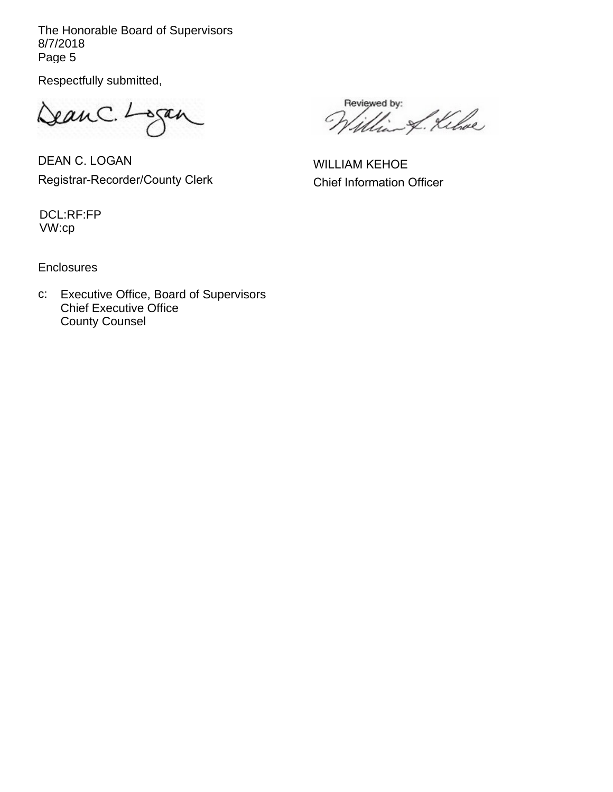Respectfully submitted,

DeanC. Logan

DEAN C. LOGAN Registrar-Recorder/County Clerk

Reviewed by: L. Kihoe Ņ.

WILLIAM KEHOE Chief Information Officer

DCL:RF:FP VW:cp

**Enclosures** 

Chief Executive Office County Counsel c: Executive Office, Board of Supervisors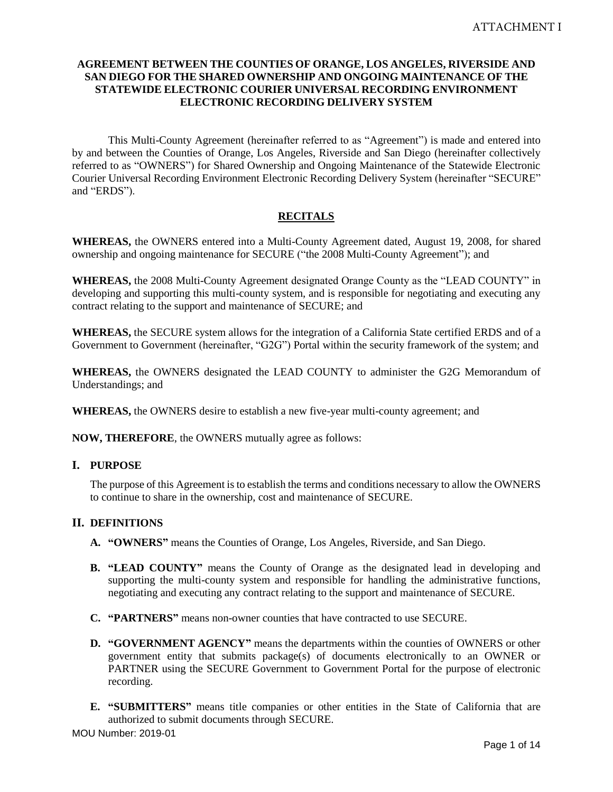## **AGREEMENT BETWEEN THE COUNTIES OF ORANGE, LOS ANGELES, RIVERSIDE AND SAN DIEGO FOR THE SHARED OWNERSHIP AND ONGOING MAINTENANCE OF THE STATEWIDE ELECTRONIC COURIER UNIVERSAL RECORDING ENVIRONMENT ELECTRONIC RECORDING DELIVERY SYSTEM**

This Multi-County Agreement (hereinafter referred to as "Agreement") is made and entered into by and between the Counties of Orange, Los Angeles, Riverside and San Diego (hereinafter collectively referred to as "OWNERS") for Shared Ownership and Ongoing Maintenance of the Statewide Electronic Courier Universal Recording Environment Electronic Recording Delivery System (hereinafter "SECURE" and "ERDS").

## **RECITALS**

**WHEREAS,** the OWNERS entered into a Multi-County Agreement dated, August 19, 2008, for shared ownership and ongoing maintenance for SECURE ("the 2008 Multi-County Agreement"); and

**WHEREAS,** the 2008 Multi-County Agreement designated Orange County as the "LEAD COUNTY" in developing and supporting this multi-county system, and is responsible for negotiating and executing any contract relating to the support and maintenance of SECURE; and

**WHEREAS,** the SECURE system allows for the integration of a California State certified ERDS and of a Government to Government (hereinafter, "G2G") Portal within the security framework of the system; and

**WHEREAS,** the OWNERS designated the LEAD COUNTY to administer the G2G Memorandum of Understandings; and

**WHEREAS,** the OWNERS desire to establish a new five-year multi-county agreement; and

**NOW, THEREFORE**, the OWNERS mutually agree as follows:

## **I. PURPOSE**

The purpose of this Agreement is to establish the terms and conditions necessary to allow the OWNERS to continue to share in the ownership, cost and maintenance of SECURE.

## **II. DEFINITIONS**

- **A. "OWNERS"** means the Counties of Orange, Los Angeles, Riverside, and San Diego.
- **B. "LEAD COUNTY"** means the County of Orange as the designated lead in developing and supporting the multi-county system and responsible for handling the administrative functions, negotiating and executing any contract relating to the support and maintenance of SECURE.
- **C. "PARTNERS"** means non-owner counties that have contracted to use SECURE.
- **D. "GOVERNMENT AGENCY"** means the departments within the counties of OWNERS or other government entity that submits package(s) of documents electronically to an OWNER or PARTNER using the SECURE Government to Government Portal for the purpose of electronic recording.
- **E. "SUBMITTERS"** means title companies or other entities in the State of California that are authorized to submit documents through SECURE.

MOU Number: 2019-01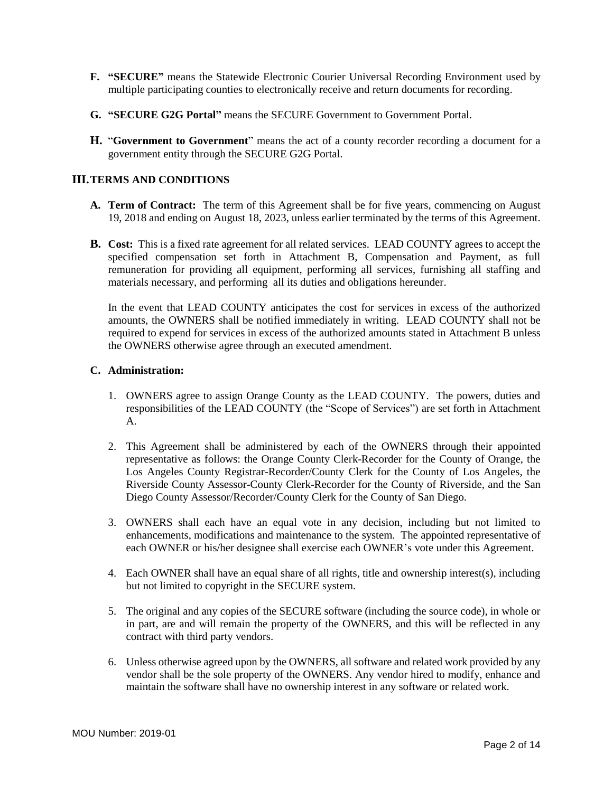- **F. "SECURE"** means the Statewide Electronic Courier Universal Recording Environment used by multiple participating counties to electronically receive and return documents for recording.
- **G. "SECURE G2G Portal"** means the SECURE Government to Government Portal.
- **H.** "**Government to Government**" means the act of a county recorder recording a document for a government entity through the SECURE G2G Portal.

## **III.TERMS AND CONDITIONS**

- **A. Term of Contract:** The term of this Agreement shall be for five years, commencing on August 19, 2018 and ending on August 18, 2023, unless earlier terminated by the terms of this Agreement.
- **B. Cost:** This is a fixed rate agreement for all related services. LEAD COUNTY agrees to accept the specified compensation set forth in Attachment B, Compensation and Payment, as full remuneration for providing all equipment, performing all services, furnishing all staffing and materials necessary, and performing all its duties and obligations hereunder.

In the event that LEAD COUNTY anticipates the cost for services in excess of the authorized amounts, the OWNERS shall be notified immediately in writing. LEAD COUNTY shall not be required to expend for services in excess of the authorized amounts stated in Attachment B unless the OWNERS otherwise agree through an executed amendment.

#### **C. Administration:**

- 1. OWNERS agree to assign Orange County as the LEAD COUNTY. The powers, duties and responsibilities of the LEAD COUNTY (the "Scope of Services") are set forth in Attachment A.
- 2. This Agreement shall be administered by each of the OWNERS through their appointed representative as follows: the Orange County Clerk-Recorder for the County of Orange, the Los Angeles County Registrar-Recorder/County Clerk for the County of Los Angeles, the Riverside County Assessor-County Clerk-Recorder for the County of Riverside, and the San Diego County Assessor/Recorder/County Clerk for the County of San Diego.
- 3. OWNERS shall each have an equal vote in any decision, including but not limited to enhancements, modifications and maintenance to the system. The appointed representative of each OWNER or his/her designee shall exercise each OWNER's vote under this Agreement.
- 4. Each OWNER shall have an equal share of all rights, title and ownership interest(s), including but not limited to copyright in the SECURE system.
- 5. The original and any copies of the SECURE software (including the source code), in whole or in part, are and will remain the property of the OWNERS, and this will be reflected in any contract with third party vendors.
- 6. Unless otherwise agreed upon by the OWNERS, all software and related work provided by any vendor shall be the sole property of the OWNERS. Any vendor hired to modify, enhance and maintain the software shall have no ownership interest in any software or related work.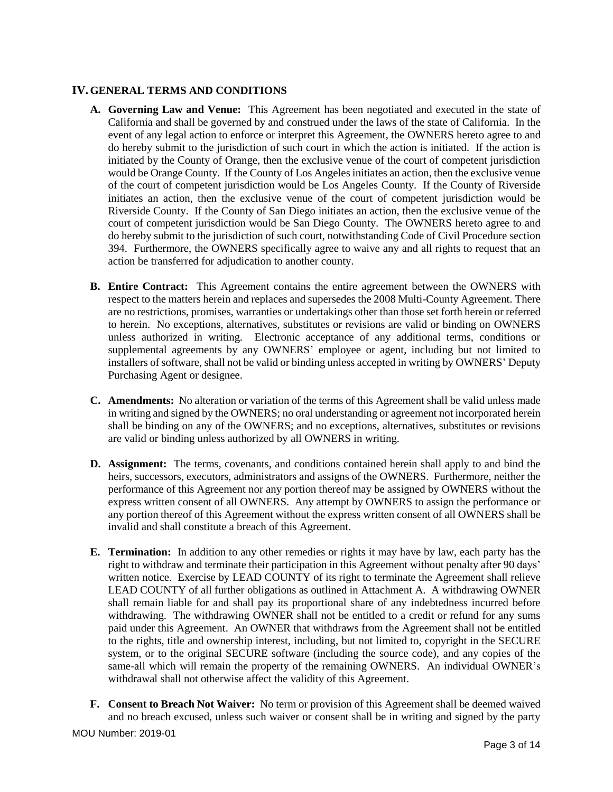## **IV.GENERAL TERMS AND CONDITIONS**

- **A. Governing Law and Venue:** This Agreement has been negotiated and executed in the state of California and shall be governed by and construed under the laws of the state of California. In the event of any legal action to enforce or interpret this Agreement, the OWNERS hereto agree to and do hereby submit to the jurisdiction of such court in which the action is initiated. If the action is initiated by the County of Orange, then the exclusive venue of the court of competent jurisdiction would be Orange County. If the County of Los Angeles initiates an action, then the exclusive venue of the court of competent jurisdiction would be Los Angeles County. If the County of Riverside initiates an action, then the exclusive venue of the court of competent jurisdiction would be Riverside County. If the County of San Diego initiates an action, then the exclusive venue of the court of competent jurisdiction would be San Diego County. The OWNERS hereto agree to and do hereby submit to the jurisdiction of such court, notwithstanding Code of Civil Procedure section 394. Furthermore, the OWNERS specifically agree to waive any and all rights to request that an action be transferred for adjudication to another county.
- **B. Entire Contract:** This Agreement contains the entire agreement between the OWNERS with respect to the matters herein and replaces and supersedes the 2008 Multi-County Agreement. There are no restrictions, promises, warranties or undertakings other than those set forth herein or referred to herein. No exceptions, alternatives, substitutes or revisions are valid or binding on OWNERS unless authorized in writing. Electronic acceptance of any additional terms, conditions or supplemental agreements by any OWNERS' employee or agent, including but not limited to installers of software, shall not be valid or binding unless accepted in writing by OWNERS' Deputy Purchasing Agent or designee.
- **C. Amendments:** No alteration or variation of the terms of this Agreement shall be valid unless made in writing and signed by the OWNERS; no oral understanding or agreement not incorporated herein shall be binding on any of the OWNERS; and no exceptions, alternatives, substitutes or revisions are valid or binding unless authorized by all OWNERS in writing.
- **D. Assignment:** The terms, covenants, and conditions contained herein shall apply to and bind the heirs, successors, executors, administrators and assigns of the OWNERS. Furthermore, neither the performance of this Agreement nor any portion thereof may be assigned by OWNERS without the express written consent of all OWNERS. Any attempt by OWNERS to assign the performance or any portion thereof of this Agreement without the express written consent of all OWNERS shall be invalid and shall constitute a breach of this Agreement.
- **E. Termination:** In addition to any other remedies or rights it may have by law, each party has the right to withdraw and terminate their participation in this Agreement without penalty after 90 days' written notice. Exercise by LEAD COUNTY of its right to terminate the Agreement shall relieve LEAD COUNTY of all further obligations as outlined in Attachment A. A withdrawing OWNER shall remain liable for and shall pay its proportional share of any indebtedness incurred before withdrawing. The withdrawing OWNER shall not be entitled to a credit or refund for any sums paid under this Agreement. An OWNER that withdraws from the Agreement shall not be entitled to the rights, title and ownership interest, including, but not limited to, copyright in the SECURE system, or to the original SECURE software (including the source code), and any copies of the same-all which will remain the property of the remaining OWNERS. An individual OWNER's withdrawal shall not otherwise affect the validity of this Agreement.
- **F. Consent to Breach Not Waiver:** No term or provision of this Agreement shall be deemed waived and no breach excused, unless such waiver or consent shall be in writing and signed by the party

MOU Number: 2019-01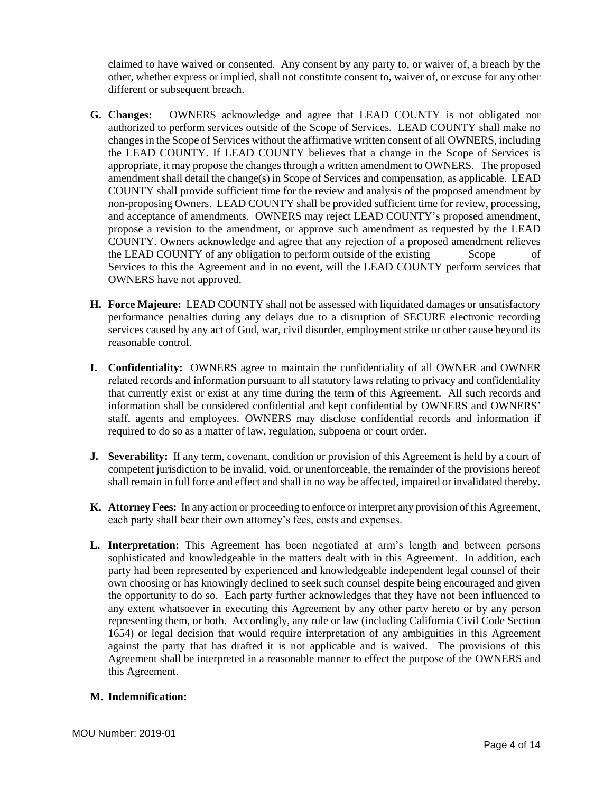claimed to have waived or consented. Any consent by any party to, or waiver of, a breach by the other, whether express or implied, shall not constitute consent to, waiver of, or excuse for any other different or subsequent breach.

- **G. Changes:** OWNERS acknowledge and agree that LEAD COUNTY is not obligated nor authorized to perform services outside of the Scope of Services. LEAD COUNTY shall make no changes in the Scope of Services without the affirmative written consent of all OWNERS, including the LEAD COUNTY. If LEAD COUNTY believes that a change in the Scope of Services is appropriate, it may propose the changes through a written amendment to OWNERS. The proposed amendment shall detail the change(s) in Scope of Services and compensation, as applicable. LEAD COUNTY shall provide sufficient time for the review and analysis of the proposed amendment by non-proposing Owners. LEAD COUNTY shall be provided sufficient time for review, processing, and acceptance of amendments. OWNERS may reject LEAD COUNTY's proposed amendment, propose a revision to the amendment, or approve such amendment as requested by the LEAD COUNTY. Owners acknowledge and agree that any rejection of a proposed amendment relieves the LEAD COUNTY of any obligation to perform outside of the existing Scope of Services to this the Agreement and in no event, will the LEAD COUNTY perform services that OWNERS have not approved.
- **H. Force Majeure:** LEAD COUNTY shall not be assessed with liquidated damages or unsatisfactory performance penalties during any delays due to a disruption of SECURE electronic recording services caused by any act of God, war, civil disorder, employment strike or other cause beyond its reasonable control.
- **I. Confidentiality:** OWNERS agree to maintain the confidentiality of all OWNER and OWNER related records and information pursuant to all statutory laws relating to privacy and confidentiality that currently exist or exist at any time during the term of this Agreement. All such records and information shall be considered confidential and kept confidential by OWNERS and OWNERS' staff, agents and employees. OWNERS may disclose confidential records and information if required to do so as a matter of law, regulation, subpoena or court order.
- **J. Severability:** If any term, covenant, condition or provision of this Agreement is held by a court of competent jurisdiction to be invalid, void, or unenforceable, the remainder of the provisions hereof shall remain in full force and effect and shall in no way be affected, impaired or invalidated thereby.
- **K. Attorney Fees:** In any action or proceeding to enforce or interpret any provision of this Agreement, each party shall bear their own attorney's fees, costs and expenses.
- **L. Interpretation:** This Agreement has been negotiated at arm's length and between persons sophisticated and knowledgeable in the matters dealt with in this Agreement. In addition, each party had been represented by experienced and knowledgeable independent legal counsel of their own choosing or has knowingly declined to seek such counsel despite being encouraged and given the opportunity to do so. Each party further acknowledges that they have not been influenced to any extent whatsoever in executing this Agreement by any other party hereto or by any person representing them, or both. Accordingly, any rule or law (including California Civil Code Section 1654) or legal decision that would require interpretation of any ambiguities in this Agreement against the party that has drafted it is not applicable and is waived. The provisions of this Agreement shall be interpreted in a reasonable manner to effect the purpose of the OWNERS and this Agreement.

## **M. Indemnification:**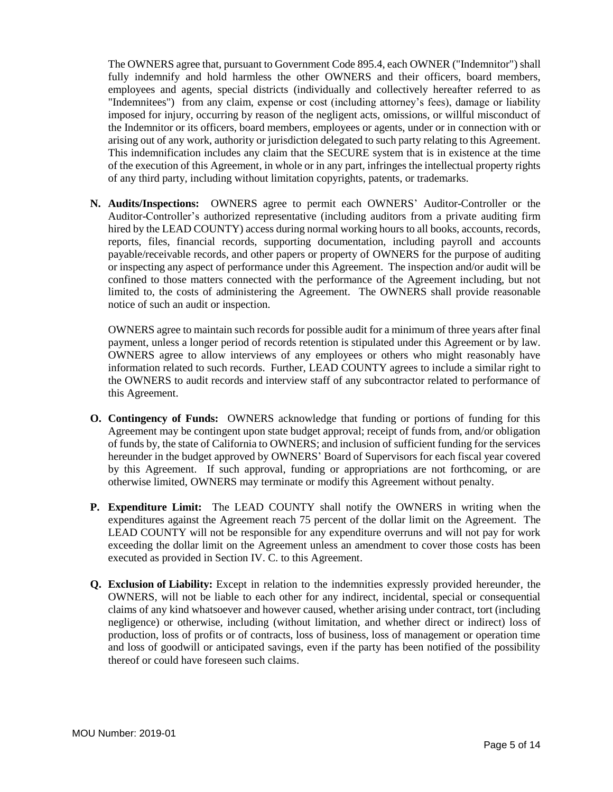The OWNERS agree that, pursuant to Government Code 895.4, each OWNER ("Indemnitor") shall fully indemnify and hold harmless the other OWNERS and their officers, board members, employees and agents, special districts (individually and collectively hereafter referred to as "Indemnitees") from any claim, expense or cost (including attorney's fees), damage or liability imposed for injury, occurring by reason of the negligent acts, omissions, or willful misconduct of the Indemnitor or its officers, board members, employees or agents, under or in connection with or arising out of any work, authority or jurisdiction delegated to such party relating to this Agreement. This indemnification includes any claim that the SECURE system that is in existence at the time of the execution of this Agreement, in whole or in any part, infringes the intellectual property rights of any third party, including without limitation copyrights, patents, or trademarks.

**N. Audits/Inspections:** OWNERS agree to permit each OWNERS' Auditor-Controller or the Auditor-Controller's authorized representative (including auditors from a private auditing firm hired by the LEAD COUNTY) access during normal working hours to all books, accounts, records, reports, files, financial records, supporting documentation, including payroll and accounts payable/receivable records, and other papers or property of OWNERS for the purpose of auditing or inspecting any aspect of performance under this Agreement. The inspection and/or audit will be confined to those matters connected with the performance of the Agreement including, but not limited to, the costs of administering the Agreement. The OWNERS shall provide reasonable notice of such an audit or inspection.

OWNERS agree to maintain such records for possible audit for a minimum of three years after final payment, unless a longer period of records retention is stipulated under this Agreement or by law. OWNERS agree to allow interviews of any employees or others who might reasonably have information related to such records. Further, LEAD COUNTY agrees to include a similar right to the OWNERS to audit records and interview staff of any subcontractor related to performance of this Agreement.

- **O. Contingency of Funds:** OWNERS acknowledge that funding or portions of funding for this Agreement may be contingent upon state budget approval; receipt of funds from, and/or obligation of funds by, the state of California to OWNERS; and inclusion of sufficient funding for the services hereunder in the budget approved by OWNERS' Board of Supervisors for each fiscal year covered by this Agreement. If such approval, funding or appropriations are not forthcoming, or are otherwise limited, OWNERS may terminate or modify this Agreement without penalty.
- **P. Expenditure Limit:** The LEAD COUNTY shall notify the OWNERS in writing when the expenditures against the Agreement reach 75 percent of the dollar limit on the Agreement. The LEAD COUNTY will not be responsible for any expenditure overruns and will not pay for work exceeding the dollar limit on the Agreement unless an amendment to cover those costs has been executed as provided in Section IV. C. to this Agreement.
- **Q. Exclusion of Liability:** Except in relation to the indemnities expressly provided hereunder, the OWNERS, will not be liable to each other for any indirect, incidental, special or consequential claims of any kind whatsoever and however caused, whether arising under contract, tort (including negligence) or otherwise, including (without limitation, and whether direct or indirect) loss of production, loss of profits or of contracts, loss of business, loss of management or operation time and loss of goodwill or anticipated savings, even if the party has been notified of the possibility thereof or could have foreseen such claims.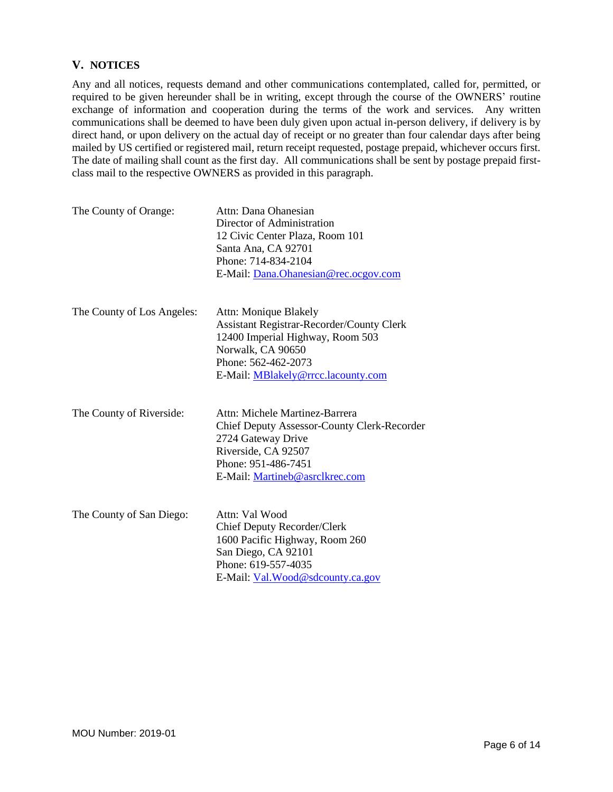## **V. NOTICES**

Any and all notices, requests demand and other communications contemplated, called for, permitted, or required to be given hereunder shall be in writing, except through the course of the OWNERS' routine exchange of information and cooperation during the terms of the work and services. Any written communications shall be deemed to have been duly given upon actual in-person delivery, if delivery is by direct hand, or upon delivery on the actual day of receipt or no greater than four calendar days after being mailed by US certified or registered mail, return receipt requested, postage prepaid, whichever occurs first. The date of mailing shall count as the first day. All communications shall be sent by postage prepaid firstclass mail to the respective OWNERS as provided in this paragraph.

| The County of Orange:      | Attn: Dana Ohanesian<br>Director of Administration<br>12 Civic Center Plaza, Room 101<br>Santa Ana, CA 92701<br>Phone: 714-834-2104<br>E-Mail: Dana.Ohanesian@rec.ocgov.com                |
|----------------------------|--------------------------------------------------------------------------------------------------------------------------------------------------------------------------------------------|
| The County of Los Angeles: | Attn: Monique Blakely<br>Assistant Registrar-Recorder/County Clerk<br>12400 Imperial Highway, Room 503<br>Norwalk, CA 90650<br>Phone: 562-462-2073<br>E-Mail: MBlakely@rrcc.lacounty.com   |
| The County of Riverside:   | Attn: Michele Martinez-Barrera<br><b>Chief Deputy Assessor-County Clerk-Recorder</b><br>2724 Gateway Drive<br>Riverside, CA 92507<br>Phone: 951-486-7451<br>E-Mail: Martineb@asrclkrec.com |
| The County of San Diego:   | Attn: Val Wood<br>Chief Deputy Recorder/Clerk<br>1600 Pacific Highway, Room 260<br>San Diego, CA 92101<br>Phone: 619-557-4035<br>E-Mail: Val.Wood@sdcounty.ca.gov                          |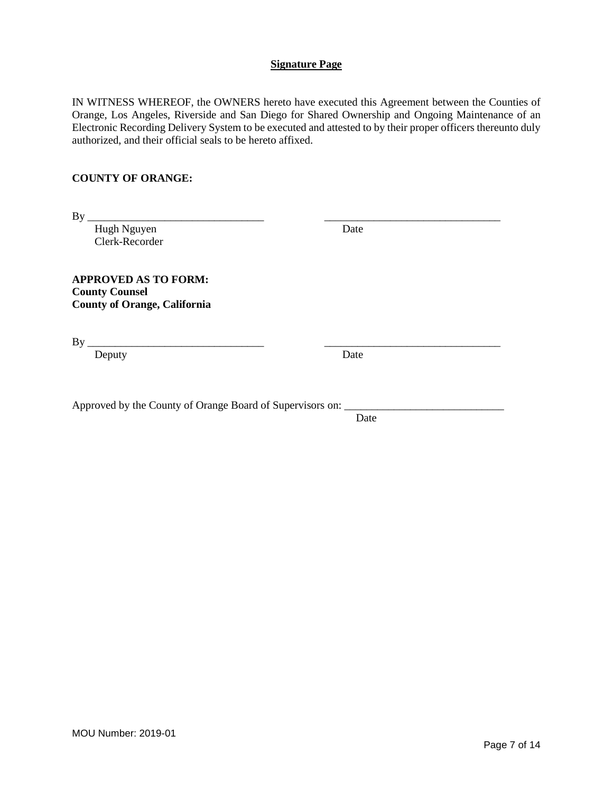IN WITNESS WHEREOF, the OWNERS hereto have executed this Agreement between the Counties of Orange, Los Angeles, Riverside and San Diego for Shared Ownership and Ongoing Maintenance of an Electronic Recording Delivery System to be executed and attested to by their proper officers thereunto duly authorized, and their official seals to be hereto affixed.

## **COUNTY OF ORANGE:**

| By                                                                                          |      |  |
|---------------------------------------------------------------------------------------------|------|--|
| Hugh Nguyen                                                                                 | Date |  |
| Clerk-Recorder                                                                              |      |  |
| <b>APPROVED AS TO FORM:</b><br><b>County Counsel</b><br><b>County of Orange, California</b> |      |  |
| By                                                                                          |      |  |
| Deputy                                                                                      | Date |  |
| Approved by the County of Orange Board of Supervisors on:                                   |      |  |
|                                                                                             | Date |  |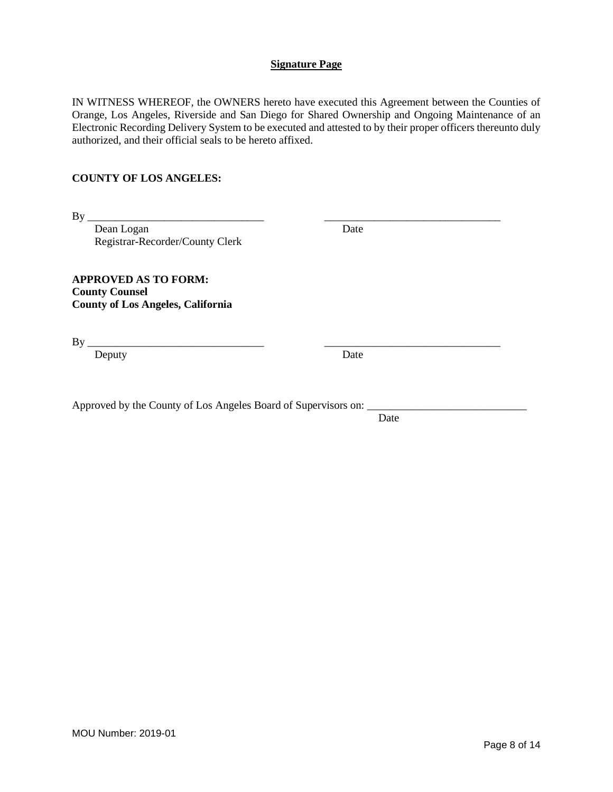IN WITNESS WHEREOF, the OWNERS hereto have executed this Agreement between the Counties of Orange, Los Angeles, Riverside and San Diego for Shared Ownership and Ongoing Maintenance of an Electronic Recording Delivery System to be executed and attested to by their proper officers thereunto duly authorized, and their official seals to be hereto affixed.

## **COUNTY OF LOS ANGELES:**

| By                                                                                               |      |  |
|--------------------------------------------------------------------------------------------------|------|--|
| Dean Logan                                                                                       | Date |  |
| Registrar-Recorder/County Clerk                                                                  |      |  |
| <b>APPROVED AS TO FORM:</b><br><b>County Counsel</b><br><b>County of Los Angeles, California</b> |      |  |
| By                                                                                               |      |  |
| Deputy                                                                                           | Date |  |
|                                                                                                  |      |  |

Approved by the County of Los Angeles Board of Supervisors on:

Date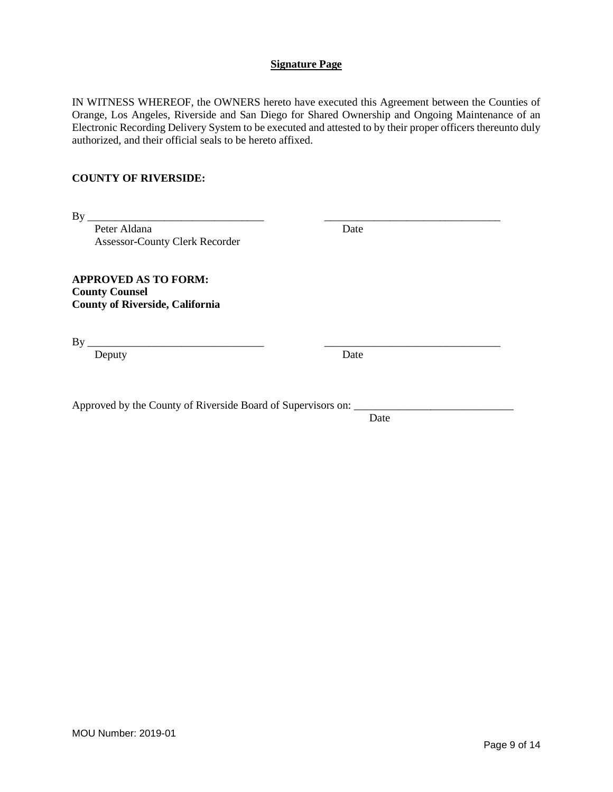IN WITNESS WHEREOF, the OWNERS hereto have executed this Agreement between the Counties of Orange, Los Angeles, Riverside and San Diego for Shared Ownership and Ongoing Maintenance of an Electronic Recording Delivery System to be executed and attested to by their proper officers thereunto duly authorized, and their official seals to be hereto affixed.

### **COUNTY OF RIVERSIDE:**

| By                                                                                             |      |  |
|------------------------------------------------------------------------------------------------|------|--|
| Peter Aldana                                                                                   | Date |  |
| <b>Assessor-County Clerk Recorder</b>                                                          |      |  |
| <b>APPROVED AS TO FORM:</b><br><b>County Counsel</b><br><b>County of Riverside, California</b> |      |  |
| By                                                                                             |      |  |
| Deputy                                                                                         | Date |  |
|                                                                                                |      |  |
|                                                                                                |      |  |
|                                                                                                |      |  |

Date

Approved by the County of Riverside Board of Supervisors on: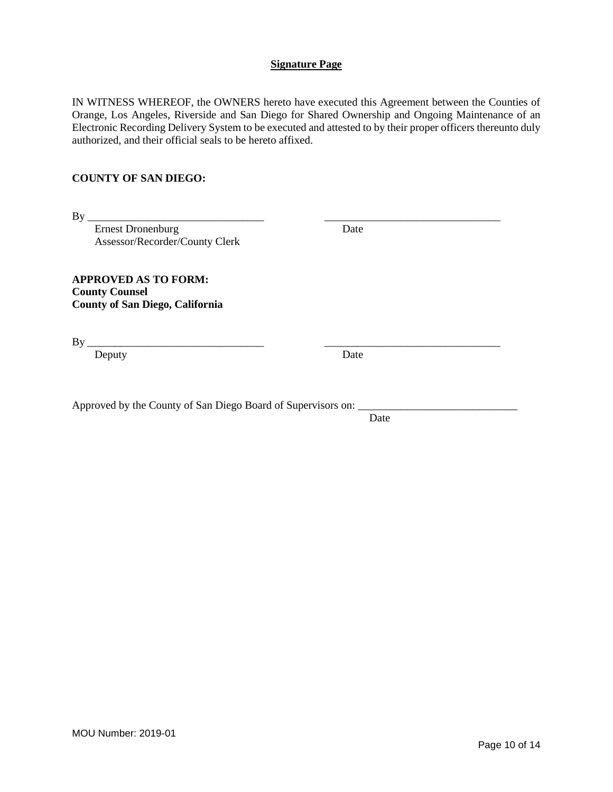IN WITNESS WHEREOF, the OWNERS hereto have executed this Agreement between the Counties of Orange, Los Angeles, Riverside and San Diego for Shared Ownership and Ongoing Maintenance of an Electronic Recording Delivery System to be executed and attested to by their proper officers thereunto duly authorized, and their official seals to be hereto affixed.

## **COUNTY OF SAN DIEGO:**

| -- | _____________ |  |
|----|---------------|--|
|    |               |  |
|    |               |  |

Ernest Dronenburg Date Assessor/Recorder/County Clerk

**APPROVED AS TO FORM: County Counsel County of San Diego, California**

By \_\_\_\_\_\_\_\_\_\_\_\_\_\_\_\_\_\_\_\_\_\_\_\_\_\_\_\_\_\_\_\_ \_\_\_\_\_\_\_\_\_\_\_\_\_\_\_\_\_\_\_\_\_\_\_\_\_\_\_\_\_\_\_\_

Deputy Date Date

Approved by the County of San Diego Board of Supervisors on:

Date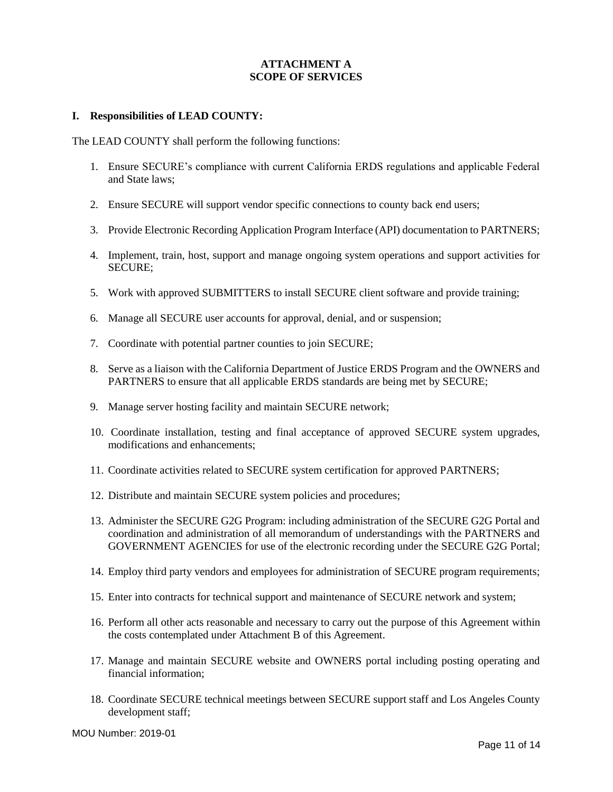## **ATTACHMENT A SCOPE OF SERVICES**

## **I. Responsibilities of LEAD COUNTY:**

The LEAD COUNTY shall perform the following functions:

- 1. Ensure SECURE's compliance with current California ERDS regulations and applicable Federal and State laws;
- 2. Ensure SECURE will support vendor specific connections to county back end users;
- 3. Provide Electronic Recording Application Program Interface (API) documentation to PARTNERS;
- 4. Implement, train, host, support and manage ongoing system operations and support activities for SECURE;
- 5. Work with approved SUBMITTERS to install SECURE client software and provide training;
- 6. Manage all SECURE user accounts for approval, denial, and or suspension;
- 7. Coordinate with potential partner counties to join SECURE;
- 8. Serve as a liaison with the California Department of Justice ERDS Program and the OWNERS and PARTNERS to ensure that all applicable ERDS standards are being met by SECURE;
- 9. Manage server hosting facility and maintain SECURE network;
- 10. Coordinate installation, testing and final acceptance of approved SECURE system upgrades, modifications and enhancements;
- 11. Coordinate activities related to SECURE system certification for approved PARTNERS;
- 12. Distribute and maintain SECURE system policies and procedures;
- 13. Administer the SECURE G2G Program: including administration of the SECURE G2G Portal and coordination and administration of all memorandum of understandings with the PARTNERS and GOVERNMENT AGENCIES for use of the electronic recording under the SECURE G2G Portal;
- 14. Employ third party vendors and employees for administration of SECURE program requirements;
- 15. Enter into contracts for technical support and maintenance of SECURE network and system;
- 16. Perform all other acts reasonable and necessary to carry out the purpose of this Agreement within the costs contemplated under Attachment B of this Agreement.
- 17. Manage and maintain SECURE website and OWNERS portal including posting operating and financial information;
- 18. Coordinate SECURE technical meetings between SECURE support staff and Los Angeles County development staff;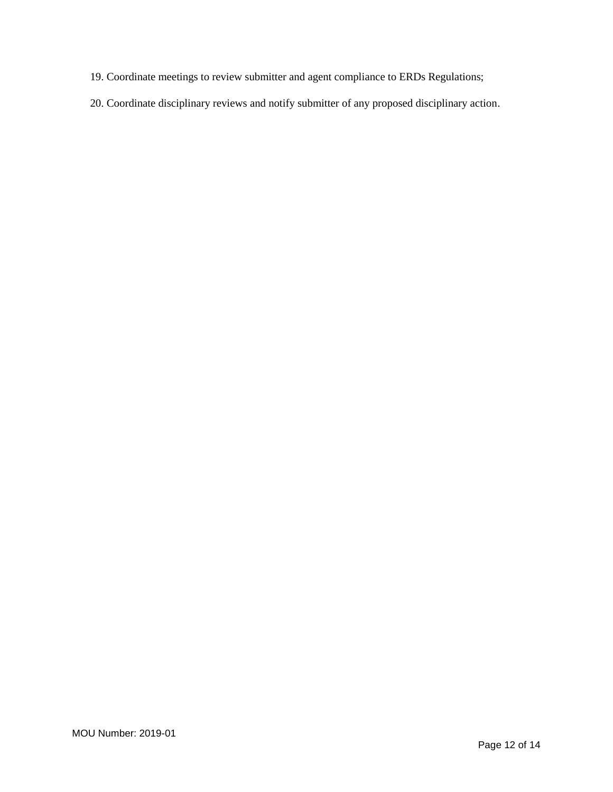- 19. Coordinate meetings to review submitter and agent compliance to ERDs Regulations;
- 20. Coordinate disciplinary reviews and notify submitter of any proposed disciplinary action.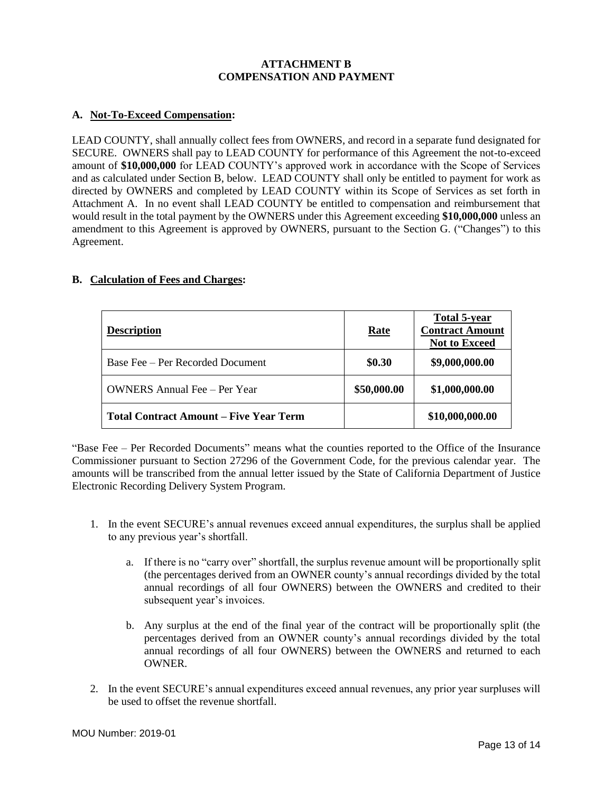### **ATTACHMENT B COMPENSATION AND PAYMENT**

## **A. Not-To-Exceed Compensation:**

LEAD COUNTY, shall annually collect fees from OWNERS, and record in a separate fund designated for SECURE. OWNERS shall pay to LEAD COUNTY for performance of this Agreement the not-to-exceed amount of **\$10,000,000** for LEAD COUNTY's approved work in accordance with the Scope of Services and as calculated under Section B, below. LEAD COUNTY shall only be entitled to payment for work as directed by OWNERS and completed by LEAD COUNTY within its Scope of Services as set forth in Attachment A. In no event shall LEAD COUNTY be entitled to compensation and reimbursement that would result in the total payment by the OWNERS under this Agreement exceeding **\$10,000,000** unless an amendment to this Agreement is approved by OWNERS, pursuant to the Section G. ("Changes") to this Agreement.

## **B. Calculation of Fees and Charges:**

| <b>Description</b>                            | Rate        | <b>Total 5-year</b><br><b>Contract Amount</b><br><b>Not to Exceed</b> |
|-----------------------------------------------|-------------|-----------------------------------------------------------------------|
| Base Fee – Per Recorded Document              | \$0.30      | \$9,000,000.00                                                        |
| <b>OWNERS</b> Annual Fee – Per Year           | \$50,000.00 | \$1,000,000.00                                                        |
| <b>Total Contract Amount – Five Year Term</b> |             | \$10,000,000.00                                                       |

"Base Fee – Per Recorded Documents" means what the counties reported to the Office of the Insurance Commissioner pursuant to Section 27296 of the Government Code, for the previous calendar year. The amounts will be transcribed from the annual letter issued by the State of California Department of Justice Electronic Recording Delivery System Program.

- 1. In the event SECURE's annual revenues exceed annual expenditures, the surplus shall be applied to any previous year's shortfall.
	- a. If there is no "carry over" shortfall, the surplus revenue amount will be proportionally split (the percentages derived from an OWNER county's annual recordings divided by the total annual recordings of all four OWNERS) between the OWNERS and credited to their subsequent year's invoices.
	- b. Any surplus at the end of the final year of the contract will be proportionally split (the percentages derived from an OWNER county's annual recordings divided by the total annual recordings of all four OWNERS) between the OWNERS and returned to each OWNER.
- 2. In the event SECURE's annual expenditures exceed annual revenues, any prior year surpluses will be used to offset the revenue shortfall.